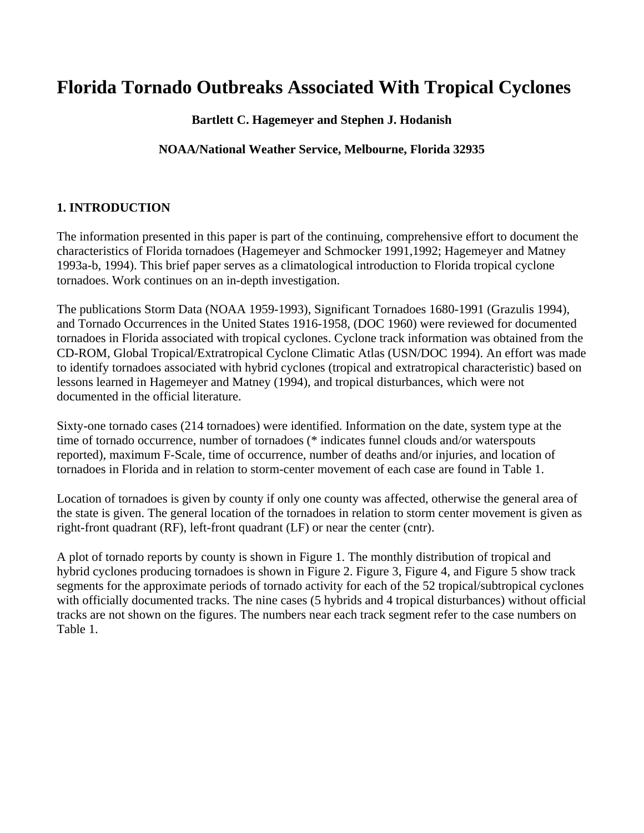# **Florida Tornado Outbreaks Associated With Tropical Cyclones**

## **Bartlett C. Hagemeyer and Stephen J. Hodanish**

### **NOAA/National Weather Service, Melbourne, Florida 32935**

# **1. INTRODUCTION**

The information presented in this paper is part of the continuing, comprehensive effort to document the characteristics of Florida tornadoes (Hagemeyer and Schmocker 1991,1992; Hagemeyer and Matney 1993a-b, 1994). This brief paper serves as a climatological introduction to Florida tropical cyclone tornadoes. Work continues on an in-depth investigation.

The publications Storm Data (NOAA 1959-1993), Significant Tornadoes 1680-1991 (Grazulis 1994), and Tornado Occurrences in the United States 1916-1958, (DOC 1960) were reviewed for documented tornadoes in Florida associated with tropical cyclones. Cyclone track information was obtained from the CD-ROM, Global Tropical/Extratropical Cyclone Climatic Atlas (USN/DOC 1994). An effort was made to identify tornadoes associated with hybrid cyclones (tropical and extratropical characteristic) based on lessons learned in Hagemeyer and Matney (1994), and tropical disturbances, which were not documented in the official literature.

Sixty-one tornado cases (214 tornadoes) were identified. Information on the date, system type at the time of tornado occurrence, number of tornadoes (\* indicates funnel clouds and/or waterspouts reported), maximum F-Scale, time of occurrence, number of deaths and/or injuries, and location of tornadoes in Florida and in relation to storm-center movement of each case are found in Table 1.

Location of tornadoes is given by county if only one county was affected, otherwise the general area of the state is given. The general location of the tornadoes in relation to storm center movement is given as right-front quadrant (RF), left-front quadrant (LF) or near the center (cntr).

A plot of tornado reports by county is shown in Figure 1. The monthly distribution of tropical and hybrid cyclones producing tornadoes is shown in Figure 2. Figure 3, Figure 4, and Figure 5 show track segments for the approximate periods of tornado activity for each of the 52 tropical/subtropical cyclones with officially documented tracks. The nine cases (5 hybrids and 4 tropical disturbances) without official tracks are not shown on the figures. The numbers near each track segment refer to the case numbers on Table 1.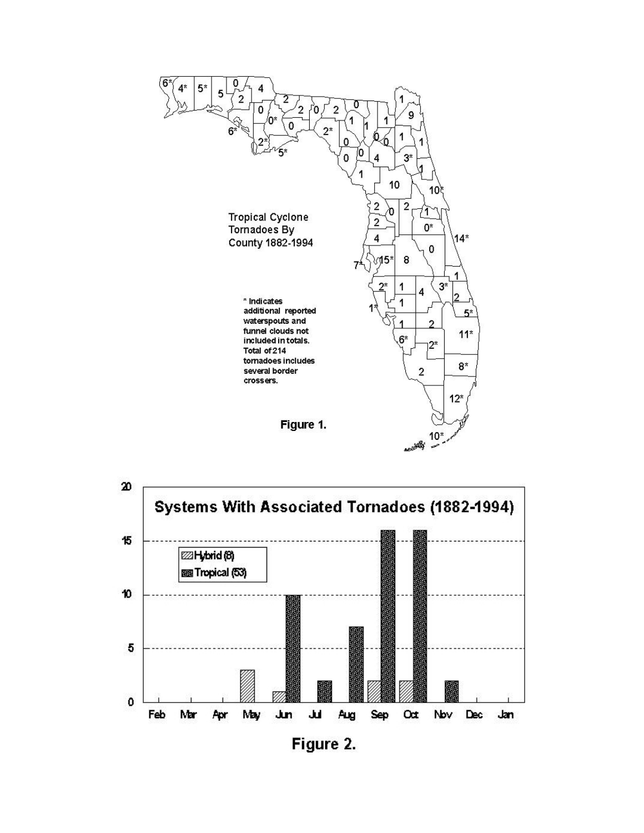



Figure 2.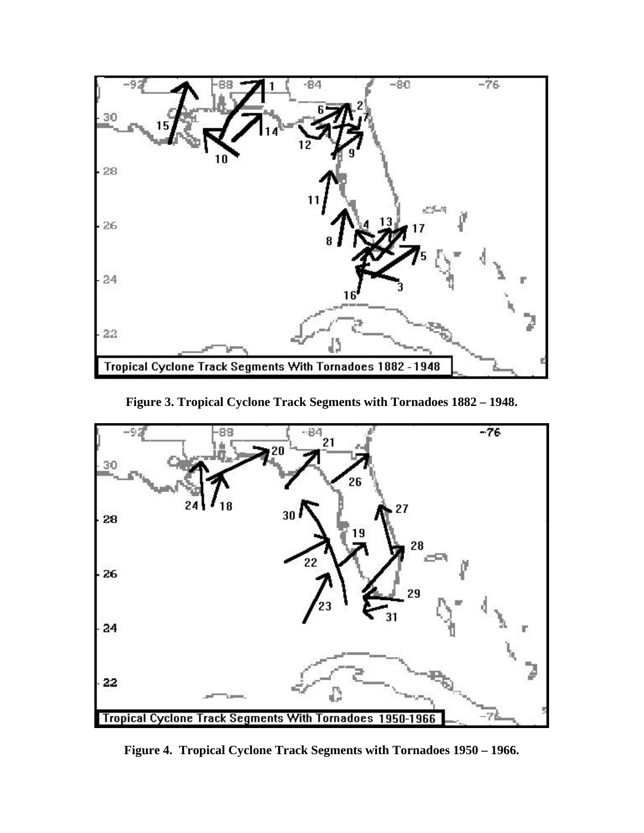

**Figure 3. Tropical Cyclone Track Segments with Tornadoes 1882 – 1948.** 



**Figure 4. Tropical Cyclone Track Segments with Tornadoes 1950 – 1966.**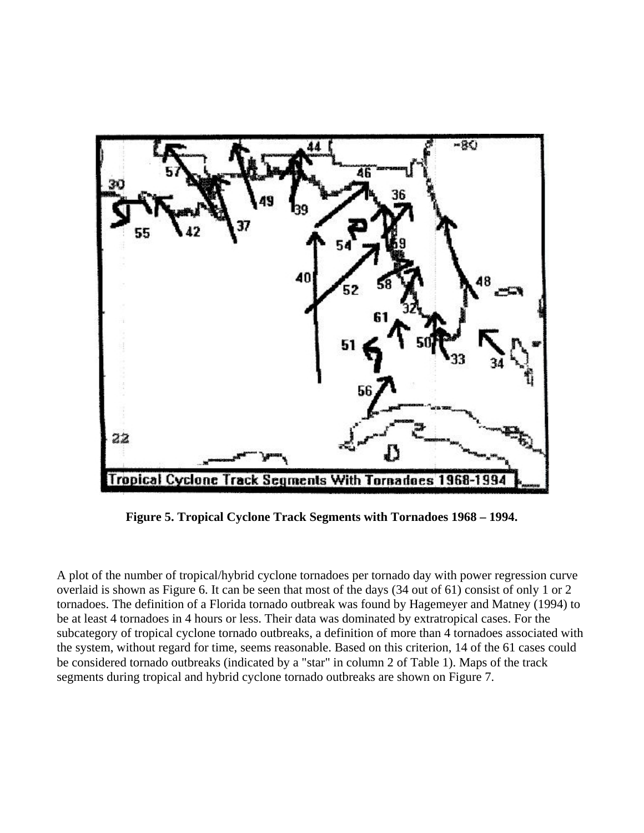

**Figure 5. Tropical Cyclone Track Segments with Tornadoes 1968 – 1994.** 

A plot of the number of tropical/hybrid cyclone tornadoes per tornado day with power regression curve overlaid is shown as Figure 6. It can be seen that most of the days (34 out of 61) consist of only 1 or 2 tornadoes. The definition of a Florida tornado outbreak was found by Hagemeyer and Matney (1994) to be at least 4 tornadoes in 4 hours or less. Their data was dominated by extratropical cases. For the subcategory of tropical cyclone tornado outbreaks, a definition of more than 4 tornadoes associated with the system, without regard for time, seems reasonable. Based on this criterion, 14 of the 61 cases could be considered tornado outbreaks (indicated by a "star" in column 2 of Table 1). Maps of the track segments during tropical and hybrid cyclone tornado outbreaks are shown on Figure 7.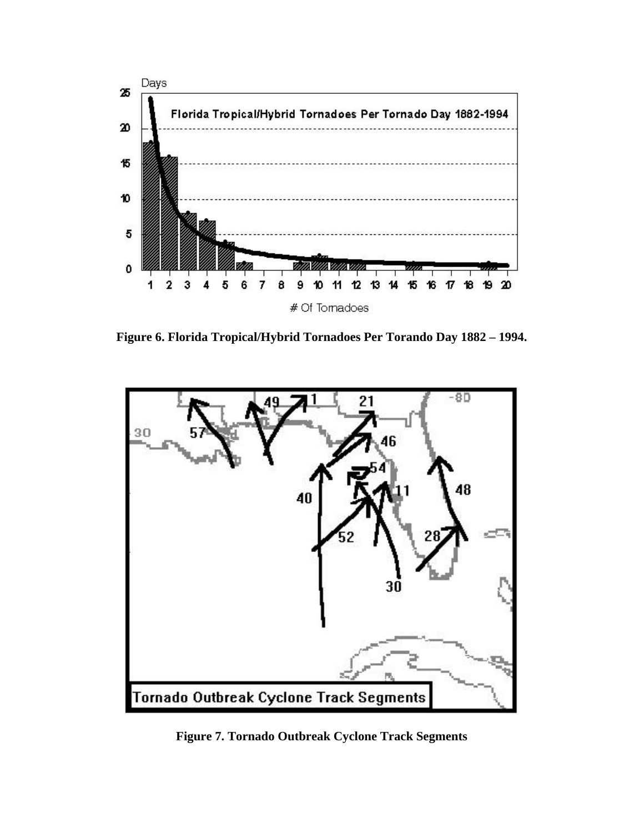

**Figure 6. Florida Tropical/Hybrid Tornadoes Per Torando Day 1882 – 1994.** 



**Figure 7. Tornado Outbreak Cyclone Track Segments**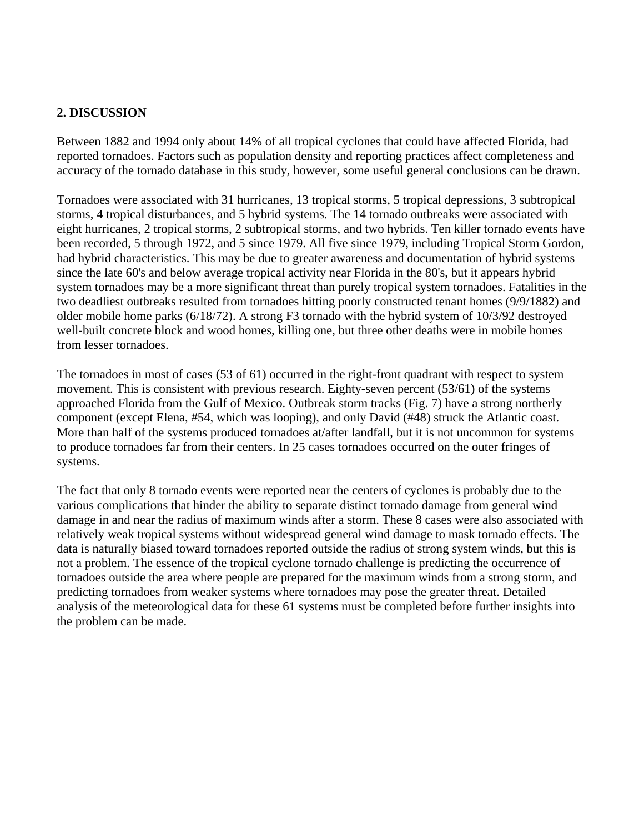### **2. DISCUSSION**

Between 1882 and 1994 only about 14% of all tropical cyclones that could have affected Florida, had reported tornadoes. Factors such as population density and reporting practices affect completeness and accuracy of the tornado database in this study, however, some useful general conclusions can be drawn.

Tornadoes were associated with 31 hurricanes, 13 tropical storms, 5 tropical depressions, 3 subtropical storms, 4 tropical disturbances, and 5 hybrid systems. The 14 tornado outbreaks were associated with eight hurricanes, 2 tropical storms, 2 subtropical storms, and two hybrids. Ten killer tornado events have been recorded, 5 through 1972, and 5 since 1979. All five since 1979, including Tropical Storm Gordon, had hybrid characteristics. This may be due to greater awareness and documentation of hybrid systems since the late 60's and below average tropical activity near Florida in the 80's, but it appears hybrid system tornadoes may be a more significant threat than purely tropical system tornadoes. Fatalities in the two deadliest outbreaks resulted from tornadoes hitting poorly constructed tenant homes (9/9/1882) and older mobile home parks (6/18/72). A strong F3 tornado with the hybrid system of 10/3/92 destroyed well-built concrete block and wood homes, killing one, but three other deaths were in mobile homes from lesser tornadoes.

The tornadoes in most of cases (53 of 61) occurred in the right-front quadrant with respect to system movement. This is consistent with previous research. Eighty-seven percent (53/61) of the systems approached Florida from the Gulf of Mexico. Outbreak storm tracks (Fig. 7) have a strong northerly component (except Elena, #54, which was looping), and only David (#48) struck the Atlantic coast. More than half of the systems produced tornadoes at/after landfall, but it is not uncommon for systems to produce tornadoes far from their centers. In 25 cases tornadoes occurred on the outer fringes of systems.

The fact that only 8 tornado events were reported near the centers of cyclones is probably due to the various complications that hinder the ability to separate distinct tornado damage from general wind damage in and near the radius of maximum winds after a storm. These 8 cases were also associated with relatively weak tropical systems without widespread general wind damage to mask tornado effects. The data is naturally biased toward tornadoes reported outside the radius of strong system winds, but this is not a problem. The essence of the tropical cyclone tornado challenge is predicting the occurrence of tornadoes outside the area where people are prepared for the maximum winds from a strong storm, and predicting tornadoes from weaker systems where tornadoes may pose the greater threat. Detailed analysis of the meteorological data for these 61 systems must be completed before further insights into the problem can be made.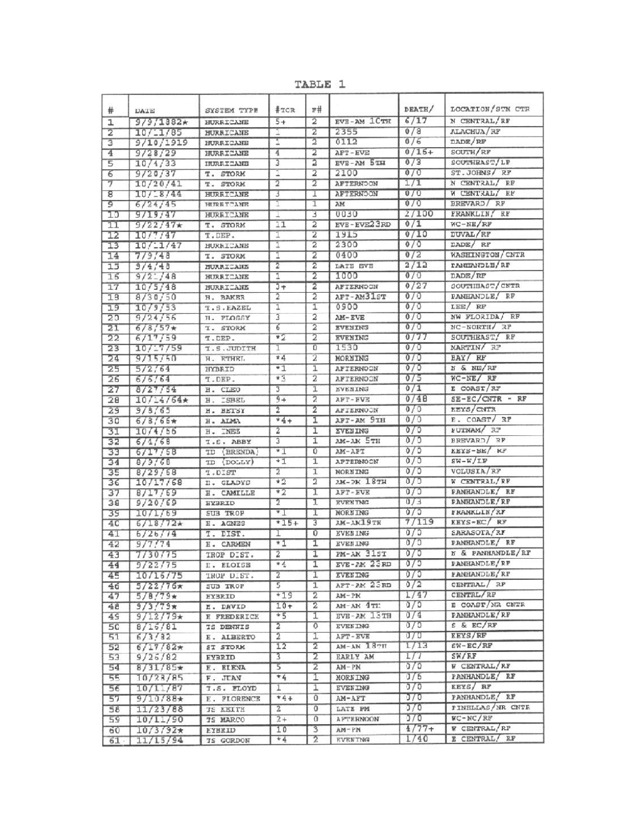TABLE 1

| #               | DATE              | SYSTEM TYPE          | #TCR                    | r#             |                           | DEATH/     | LOCATION/STN CTR              |
|-----------------|-------------------|----------------------|-------------------------|----------------|---------------------------|------------|-------------------------------|
| ı               | $9/9/1382*$       | HURRICANE            | $5+$                    | 2              | EVE-AM 1CTH               | 6/17       | N CENTRAL/RF                  |
| $\overline{2}$  | 10/1/85           | HURRICANE            | 1                       | $\overline{2}$ | 2355                      | 0/8        | ALACHUA/RF                    |
| $\overline{3}$  | 9/10/1919         | HURRICANE            | 1                       | $\overline{2}$ | 0112                      | 0/6        | DADE/RF                       |
| 4               | 9/28/29           | HURRICANE            | 4                       | 2              | AFT-EVE                   | $0/16+$    | SOUTH/RF                      |
| 5               | 10/4/33           | INDREICANE           | 3                       | $\overline{2}$ | EVE-AM 5TH                | 0/3        | SOUTHEAST/LF                  |
| Б               | 9/20/37           | T. STORM             | I                       | $\overline{2}$ | 2100                      | 0/0        | ST.JOHNS/ RF                  |
| 7               | 10/20/41          | T. STORM             | $\overline{2}$          | $\overline{2}$ | <b>AFTERNOON</b>          | 1/1        | N CENTRAL/ RF                 |
| 8               | 10/18/44          | <b>HURRICANE</b>     | T                       | T              | <b>AFTERNOON</b>          | 0/0        | W CENTRAL/ RF                 |
| 9               | 6/24/45           | HURETCANE            | T                       | ī              | AM                        | 0/0        | BREVARD/ RF                   |
| 10              | 9/19/47           | <b>HUREICANE</b>     | ı                       | 3              | 0030                      | 2/100      | FRANKLIN/ RF                  |
| 11              | $9/22/47*$        | T. STORM             | 11                      | $\overline{2}$ | EVE-EVE23RD               | 0/1        | $WC-NE/RF$                    |
| 12              | 10/7/47           | T.DEP.               | T                       | 2              | 1915                      | 0/10       | <b>DUVAL/RF</b>               |
| 13              | 10/11/47          | HURRICANE            | ī                       | $\overline{2}$ | 2300                      | 0/0        | DADE/ RF                      |
| 14              | 7/9/48            | <b>T. STORM</b>      | 1                       | $\overline{2}$ | 0400                      | 0/2        | WASHINGTON/CNTR               |
| 15              | 3/4/43            | <b>MURRICANS</b>     | $\overline{2}$          | 2              | LATE EVE                  | 2/12       | <b>TANIANDLE/RF</b>           |
| 15              | $9/2$ $-$ / 48    | HURRICANE            | ī                       | $\overline{2}$ | 1000                      | 0/0        | DADE/RF                       |
| 17              | 10/5/48           | HURRICANE            | $\overline{3+}$         | 2              | AFTERNOON                 | 0/27       | SOUTHEAST/CNTR                |
| 18              | 8/30/50           | H. BAKER             | 2                       | 2              | AFT-AM31ST                | 0/0        | PANHANDLE/ RF                 |
| 19              | 10/9/53           | <b>T.S. EAZEL</b>    | ī                       | $\overline{1}$ | 0900                      | 0/0        | LEE/ RF                       |
| 2 <sub>0</sub>  | 9/24/56           | H. FLOSSY            | 3                       | 2              | <b>AM-EVE</b>             | 0/0        | NW FLORIDA/ RF                |
| $\overline{21}$ | $6/8/57*$         | <b>T. STORM</b>      | 6                       | 2              | <b>EVENING</b>            | 0/0        | NC-NORTH/ 3P<br>SOUTHEAST/ RF |
| 22              | 6/17/59           | T.DEP.               | *2                      | 2              | <b>EVENING</b><br>1530    | 0/77       | MARTIN/ RF                    |
| $\overline{23}$ | 10/17/59          | I.S.JUDITH           | T                       | 0              |                           | 0/0        |                               |
| 24              | 9/15/50           | H. ETHEL             | $*4$<br>$+1$            | 2              | MORNING                   | 0/0<br>0/0 | BAY/ RF<br>N & NE/RF          |
| 25              | 5/2/64            | <b>HYBRID</b>        | $*3$                    | ī              | AFTERNOON                 |            | $WC-NE / RF$                  |
| 26              | 6/6/64            | T.DEP.               |                         | 2              | <b>AFTERNOON</b>          | 0/5<br>0/1 | E COAST/RF                    |
| 27              | 8/27/54           | H. CLEO              | $9 +$                   | ī<br>2         | <b>EVENING</b><br>AFT-FVE | 0/48       | $SE-EC/CNTR$ - RF             |
| 28              | $10/14/64*$       | <b>ISBEL</b><br>H.   | $\overline{2}$          | 2              |                           | 0/0        | KEYS/CNTR                     |
| 29              | 9/3/65            | H. BETSY             | $*4 +$                  | I              | AFTERNOON<br>AFT-AM 9TH   | 0/0        | E. COAST/ RF                  |
| 30              | $6/3/65*$         | H. ALMA              | 2                       | ī              | <b>EVENING</b>            | 0/0        | FUTNAM/ RF                    |
| 31              | 10/4/56           | H. INEZ<br>I.E. ABBY | $\overline{3}$          | I              | AM-AM 5TH                 | 0/0        | BREVARD/RF                    |
| 32<br>33        | 6/4/68<br>6/17/58 | (BRENDA)<br>TD       | $*1$                    | ō              | AM-APT                    | 0/5        | KEYS-SE/ RF                   |
| 34              | 8/9/68            | ID (DOLLY)           | $+1$                    | ī              | <b>APTERNOON</b>          | 0/0        | $SW-W/LF$                     |
| 35              | 8/29/58           | T.DIST               | $\overline{2}$          | T              | <b>MORNING</b>            | 0/0        | VOLUSIA/RF                    |
| 36              | 10/17/68          | II. GLADYC           | $*2$                    | 2              | 1М-ЭК 18ТН                | 0/5        | W CENTRAL/RF                  |
| 37              | 8/17/69           | H. CAMILLE           | $*2$                    | ı              | <b>AFT-EVE</b>            | 0/0        | FANHANDLE/ RF                 |
| 38              | 9/20/69           | HYBRID               | 2                       | τ              | <b>RVENTNG</b>            | 0/3        | PANHANDLE/RF                  |
| 39              | 10/1/69           | SUB TROP             | $^{\ast}$ 1             | Ι              | <b>MORNING</b>            | 0/5        | FRANKLIN/RF                   |
| 40              | $6/18/72*$        | H. AGNES             | $+15+$                  | 3              | AM-AM19TH                 | 7/119      | EEYS-EC/RF                    |
| 41              | 6/26/74           | T. DIST.             | T                       | 0              | <b>EVEN ING</b>           | 0/5        | SARASOTA/RF                   |
| 42              | 9/7/74            | <b>H. CARMEN</b>     | $*1$                    | I              | <b>EVEN ING</b>           | 0/0        | PANHANDLE/ RF                 |
| 43              | 7/30/75           | IROP DIST.           | 2                       | I              | PM-AM 31ST                | 0/0        | N & PANHANDLE/RF              |
| 44              | 9/22/75           | I. ELOISE            | * $\overline{4}$        | I              | $EVE-2M$ 23RD             | 0/0        | PANHANDLE/RF                  |
| 45              | 10/15/75          | TROP DIST.           | 2                       | 1              | <b>EVENING</b>            | 0/0        | FANHANDLE/RF                  |
| 46              | $5/22/76*$        | SUB TROP             | 5                       | 1              | AFT-AM 23RD               | 0/2        | CENTRAL/ RF                   |
| 47              | $5/8/79*$         | <b>EYBRID</b>        | $+19$                   | $\overline{2}$ | $AM-PM$                   | 1/47       | CENTRL/RF                     |
| 48              | $9/3/79\pi$       | E. DAVID             | $10+$                   | 2              | AM-AN 4TI:                | 0/0        | E COAST/NR CNTR               |
| 4S              | $9/12/79*$        | E FREDERICK          | $+5$                    | I              | EVE-AM 13TH               | 0/4        | PANHANDLE/RF                  |
| 5 <sub>C</sub>  | 8/15/81           | <b>TS DENNIS</b>     | 2                       | 0              | <b>EVENING</b>            | 0/0        | S & EC/RF                     |
| 51              | 6/3/32            | E. ALBERTO           | $\overline{2}$          | 1              | AFT-EVE                   | 0/0        | <b>EEYS/RF</b>                |
| 52              | $6/17/82*$        | <b>ST STORK</b>      | 12                      | 2              | am-am 18th                | 1/13       | $EW-EC/RF$                    |
| 53              | 9/25/82           | <b>EYBRID</b>        | $\overline{\mathbf{3}}$ | 2              | <b>EARLY AM</b>           | 1/7        | SK/EF                         |
| 54              | $8/31/85*$        | E. ELENA             | 5                       | 2              | AM-PM                     | 0/0        | W CENTRAL/RF                  |
| 55              | 10/28/85          | F. JUAN              | $*4$                    | I              | MORNING                   | J/6        | PANHANDLE/ RF                 |
| 56              | 10/11/87          | <b>T.S. FLOYD</b>    | ı                       | 1              | <b>EVENING</b>            | 0/0        | KEYS/RF                       |
| 57              | $9/10/88*$        | E. FLORENCE          | $+4+$                   | $\mathbf{0}$   | AM-AFT                    | 0/0        | PANHANDLE/ RF                 |
| 58              | 11/23/88          | <b>TE KEITH</b>      | $\overline{z}$          | 0              | LATE PM                   | 0/0        | PINELLAS/NR CNTR              |
| 59              | 10/11/90          | <b>TS MARCO</b>      | $2+$                    | 0              | <b>A FTERNOON</b>         | 0/0        | $WC - NC / RF$                |
| 60              | $10/3/92*$        | <b>EYBRID</b>        | 10                      | 3              | $AM=PM$                   | $1/77+$    | W CENTRAL/RP                  |
| $61 -$          | 11/15/94          | <b>TS GORDON</b>     | $+4$                    | 2              | <b>EVENTNG</b>            | 1/40       | E CENTRAL/ RF                 |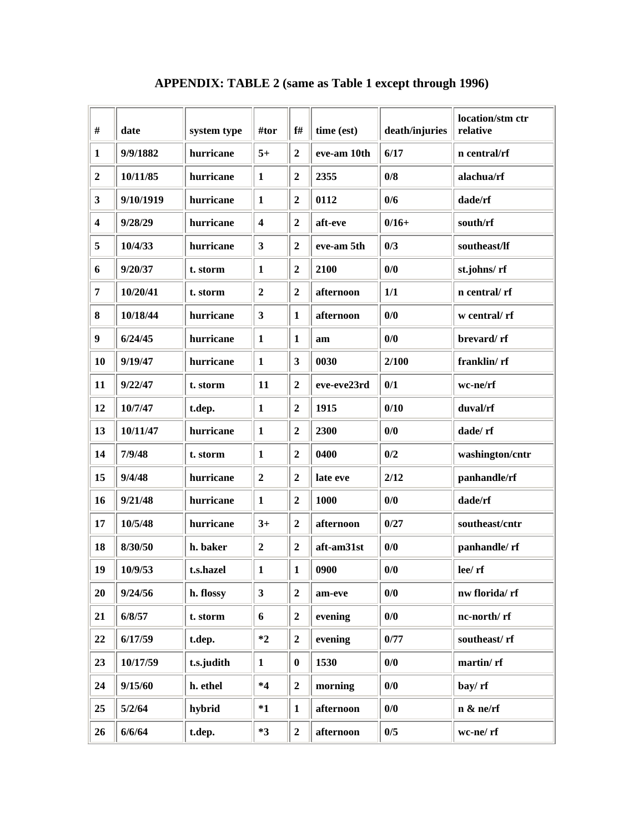| $\#$             | date      | system type | #tor                    | f#               | time (est)  | death/injuries | location/stm ctr<br>relative |
|------------------|-----------|-------------|-------------------------|------------------|-------------|----------------|------------------------------|
| $\mathbf{1}$     | 9/9/1882  | hurricane   | $5+$                    | $\overline{2}$   | eve-am 10th | 6/17           | n central/rf                 |
| $\overline{2}$   | 10/11/85  | hurricane   | $\mathbf{1}$            | $\overline{2}$   | 2355        | 0/8            | alachua/rf                   |
| 3                | 9/10/1919 | hurricane   | $\mathbf{1}$            | $\mathbf{2}$     | 0112        | 0/6            | dade/rf                      |
| $\boldsymbol{4}$ | 9/28/29   | hurricane   | $\overline{\mathbf{4}}$ | $\boldsymbol{2}$ | aft-eve     | $0/16+$        | south/rf                     |
| 5                | 10/4/33   | hurricane   | $\overline{\mathbf{3}}$ | $\overline{2}$   | eve-am 5th  | 0/3            | southeast/lf                 |
| 6                | 9/20/37   | t. storm    | $\mathbf{1}$            | $\boldsymbol{2}$ | 2100        | 0/0            | st.johns/rf                  |
| 7                | 10/20/41  | t. storm    | $\overline{2}$          | $\overline{2}$   | afternoon   | 1/1            | n central/rf                 |
| 8                | 10/18/44  | hurricane   | $\overline{\mathbf{3}}$ | $\mathbf{1}$     | afternoon   | 0/0            | w central/rf                 |
| $\boldsymbol{9}$ | 6/24/45   | hurricane   | $\mathbf{1}$            | $\mathbf{1}$     | am          | 0/0            | brevard/rf                   |
| 10               | 9/19/47   | hurricane   | $\mathbf{1}$            | 3                | 0030        | 2/100          | franklin/rf                  |
| 11               | 9/22/47   | t. storm    | 11                      | $\overline{2}$   | eve-eve23rd | 0/1            | wc-ne/rf                     |
| 12               | 10/7/47   | t.dep.      | $\mathbf{1}$            | $\boldsymbol{2}$ | 1915        | 0/10           | duval/rf                     |
| 13               | 10/11/47  | hurricane   | $\mathbf{1}$            | $\boldsymbol{2}$ | 2300        | 0/0            | dade/rf                      |
| 14               | 7/9/48    | t. storm    | $\mathbf{1}$            | $\overline{2}$   | 0400        | 0/2            | washington/cntr              |
| 15               | 9/4/48    | hurricane   | $\boldsymbol{2}$        | $\boldsymbol{2}$ | late eve    | 2/12           | panhandle/rf                 |
| 16               | 9/21/48   | hurricane   | $\mathbf{1}$            | $\boldsymbol{2}$ | 1000        | 0/0            | dade/rf                      |
| 17               | 10/5/48   | hurricane   | $3+$                    | $\overline{2}$   | afternoon   | 0/27           | southeast/cntr               |
| 18               | 8/30/50   | h. baker    | $\boldsymbol{2}$        | $\boldsymbol{2}$ | aft-am31st  | 0/0            | panhandle/rf                 |
| 19               | 10/9/53   | t.s.hazel   | 1                       | $\mathbf{1}$     | 0900        | 0/0            | lee/rf                       |
| 20               | 9/24/56   | h. flossy   | $\overline{\mathbf{3}}$ | $\overline{2}$   | am-eve      | 0/0            | nw florida/rf                |
| 21               | 6/8/57    | t. storm    | 6                       | $\boldsymbol{2}$ | evening     | 0/0            | nc-north/rf                  |
| 22               | 6/17/59   | t.dep.      | $*2$                    | $\overline{2}$   | evening     | 0/77           | southeast/rf                 |
| 23               | 10/17/59  | t.s.judith  | $\mathbf{1}$            | $\bf{0}$         | 1530        | 0/0            | martin/rf                    |
| 24               | 9/15/60   | h. ethel    | $*4$                    | $\overline{2}$   | morning     | 0/0            | bay/rf                       |
| 25               | 5/2/64    | hybrid      | $*1$                    | $\mathbf{1}$     | afternoon   | 0/0            | n ≠/rf                       |
| 26               | 6/6/64    | t.dep.      | $*3$                    | $\overline{2}$   | afternoon   | 0/5            | wc-ne/rf                     |

# **APPENDIX: TABLE 2 (same as Table 1 except through 1996)**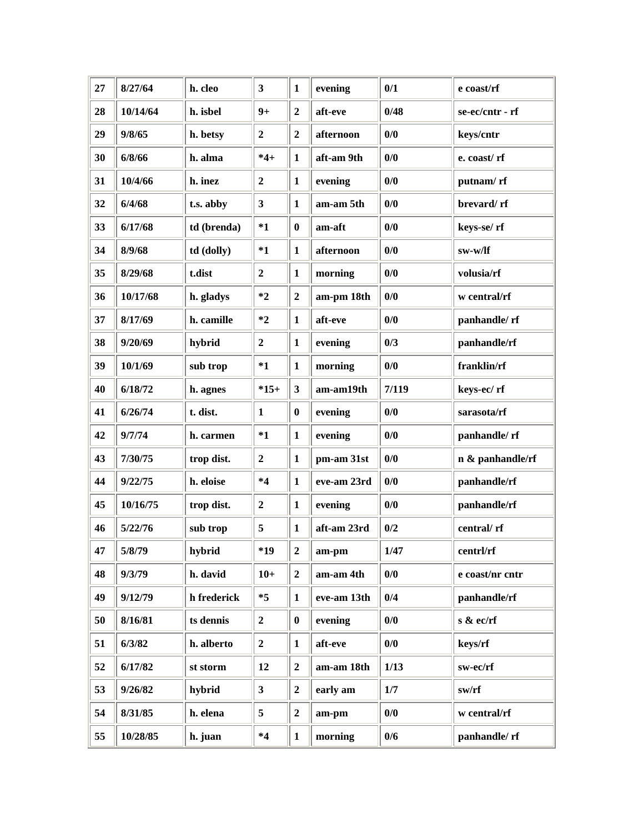| 27 | 8/27/64  | h. cleo     | $\overline{\mathbf{3}}$ | $\mathbf{1}$     | evening     | 0/1   | e coast/rf       |
|----|----------|-------------|-------------------------|------------------|-------------|-------|------------------|
| 28 | 10/14/64 | h. isbel    | $9+$                    | $\overline{2}$   | aft-eve     | 0/48  | se-ec/cntr - rf  |
| 29 | 9/8/65   | h. betsy    | $\overline{2}$          | $\overline{2}$   | afternoon   | 0/0   | keys/cntr        |
| 30 | 6/8/66   | h. alma     | $*4+$                   | 1                | aft-am 9th  | 0/0   | e. coast/rf      |
| 31 | 10/4/66  | h. inez     | $\boldsymbol{2}$        | $\mathbf{1}$     | evening     | 0/0   | putnam/rf        |
| 32 | 6/4/68   | t.s. abby   | 3 <sup>1</sup>          | $\mathbf{1}$     | am-am 5th   | 0/0   | brevard/rf       |
| 33 | 6/17/68  | td (brenda) | $*1$                    | $\bf{0}$         | am-aft      | 0/0   | keys-se/rf       |
| 34 | 8/9/68   | td (dolly)  | $*1$                    | $\mathbf{1}$     | afternoon   | 0/0   | sw-w/lf          |
| 35 | 8/29/68  | t.dist      | $\overline{2}$          | $\mathbf{1}$     | morning     | 0/0   | volusia/rf       |
| 36 | 10/17/68 | h. gladys   | $*2$                    | $\overline{2}$   | am-pm 18th  | 0/0   | w central/rf     |
| 37 | 8/17/69  | h. camille  | $*2$                    | $\mathbf{1}$     | aft-eve     | 0/0   | panhandle/rf     |
| 38 | 9/20/69  | hybrid      | $\overline{2}$          | $\mathbf{1}$     | evening     | 0/3   | panhandle/rf     |
| 39 | 10/1/69  | sub trop    | $*1$                    | $\mathbf{1}$     | morning     | 0/0   | franklin/rf      |
| 40 | 6/18/72  | h. agnes    | $*15+$                  | $\mathbf{3}$     | am-am19th   | 7/119 | keys-ec/rf       |
| 41 | 6/26/74  | t. dist.    | $\mathbf{1}$            | $\bf{0}$         | evening     | 0/0   | sarasota/rf      |
| 42 | 9/7/74   | h. carmen   | $*1$                    | $\mathbf{1}$     | evening     | 0/0   | panhandle/rf     |
| 43 | 7/30/75  | trop dist.  | $\overline{2}$          | $\mathbf{1}$     | pm-am 31st  | 0/0   | n & panhandle/rf |
| 44 | 9/22/75  | h. eloise   | $*4$                    | $\mathbf{1}$     | eve-am 23rd | 0/0   | panhandle/rf     |
| 45 | 10/16/75 | trop dist.  | $\boldsymbol{2}$        | $\mathbf{1}$     | evening     | 0/0   | panhandle/rf     |
| 46 | 5/22/76  | sub trop    | 5                       | $\mathbf{1}$     | aft-am 23rd | 0/2   | central/rf       |
| 47 | 5/8/79   | hybrid      | *19                     | $\boldsymbol{2}$ | am-pm       | 1/47  | centrl/rf        |
| 48 | 9/3/79   | h. david    | $10+$                   | $\overline{2}$   | am-am 4th   | 0/0   | e coast/nr cntr  |
| 49 | 9/12/79  | h frederick | $*5$                    | $\mathbf{1}$     | eve-am 13th | 0/4   | panhandle/rf     |
| 50 | 8/16/81  | ts dennis   | $\overline{2}$          | $\bf{0}$         | evening     | 0/0   | s & ec/rf        |
| 51 | 6/3/82   | h. alberto  | $\mathbf{2}$            | $\mathbf{1}$     | aft-eve     | 0/0   | keys/rf          |
| 52 | 6/17/82  | st storm    | 12                      | $\boldsymbol{2}$ | am-am 18th  | 1/13  | sw-ec/rf         |
| 53 | 9/26/82  | hybrid      | 3 <sup>1</sup>          | $\overline{2}$   | early am    | 1/7   | sw/rf            |
| 54 | 8/31/85  | h. elena    | 5                       | $\overline{2}$   | am-pm       | 0/0   | w central/rf     |
| 55 | 10/28/85 | h. juan     | $*4$                    | $\mathbf{1}$     | morning     | 0/6   | panhandle/rf     |